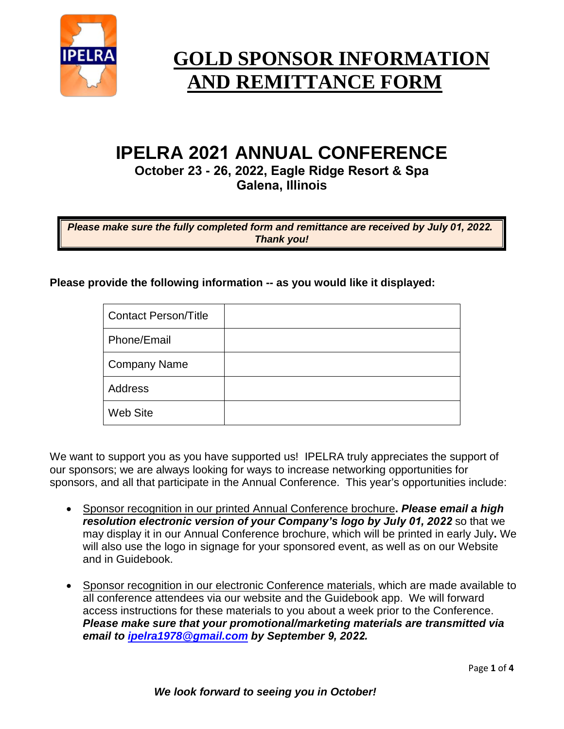

# **GOLD SPONSOR INFORMATION AND REMITTANCE FORM**

# **IPELRA 2021 ANNUAL CONFERENCE**

**October 23 - 26, 2022, Eagle Ridge Resort & Spa Galena, Illinois** 

*Please make sure the fully completed form and remittance are received by July 01, 2022. Thank you!*

**Please provide the following information -- as you would like it displayed:**

| <b>Contact Person/Title</b> |  |
|-----------------------------|--|
| Phone/Email                 |  |
| <b>Company Name</b>         |  |
| Address                     |  |
| <b>Web Site</b>             |  |

We want to support you as you have supported us! IPELRA truly appreciates the support of our sponsors; we are always looking for ways to increase networking opportunities for sponsors, and all that participate in the Annual Conference. This year's opportunities include:

- Sponsor recognition in our printed Annual Conference brochure**.** *Please email a high resolution electronic version of your Company's logo by July 01, 2022* so that we may display it in our Annual Conference brochure, which will be printed in early July**.** We will also use the logo in signage for your sponsored event, as well as on our Website and in Guidebook.
- Sponsor recognition in our electronic Conference materials, which are made available to all conference attendees via our website and the Guidebook app. We will forward access instructions for these materials to you about a week prior to the Conference. *Please make sure that your promotional/marketing materials are transmitted via email to [ipelra1978@gmail.com](mailto:ipelra1978@gmail.com) by September 9, 2022.*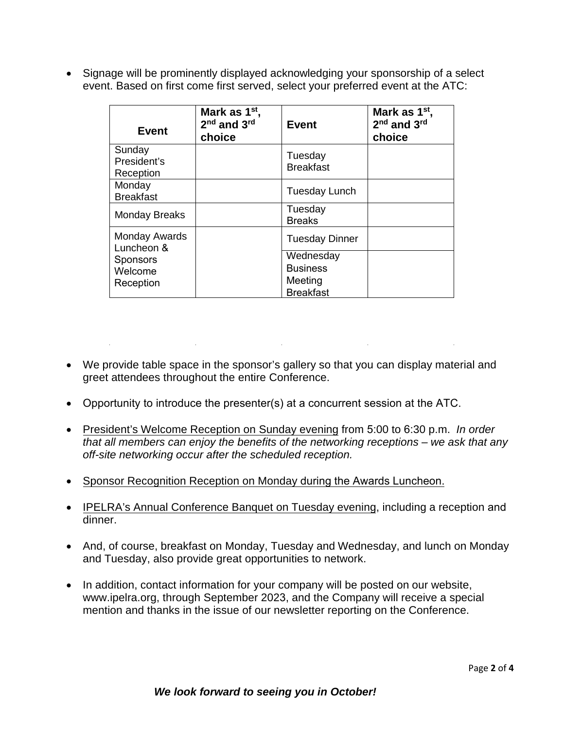• Signage will be prominently displayed acknowledging your sponsorship of a select event. Based on first come first served, select your preferred event at the ATC:

| Event                                   | Mark as 1 <sup>st</sup> ,<br>2 <sup>nd</sup> and 3 <sup>rd</sup><br>choice | <b>Event</b>                                                | Mark as 1 <sup>st</sup> ,<br>2 <sup>nd</sup> and 3rd<br>choice |
|-----------------------------------------|----------------------------------------------------------------------------|-------------------------------------------------------------|----------------------------------------------------------------|
| Sunday<br>President's<br>Reception      |                                                                            | Tuesday<br><b>Breakfast</b>                                 |                                                                |
| Monday<br><b>Breakfast</b>              |                                                                            | <b>Tuesday Lunch</b>                                        |                                                                |
| <b>Monday Breaks</b>                    |                                                                            | Tuesday<br><b>Breaks</b>                                    |                                                                |
| Monday Awards<br>Luncheon &             |                                                                            | <b>Tuesday Dinner</b>                                       |                                                                |
| <b>Sponsors</b><br>Welcome<br>Reception |                                                                            | Wednesday<br><b>Business</b><br>Meeting<br><b>Breakfast</b> |                                                                |

- We provide table space in the sponsor's gallery so that you can display material and greet attendees throughout the entire Conference.
- Opportunity to introduce the presenter(s) at a concurrent session at the ATC.
- President's Welcome Reception on Sunday evening from 5:00 to 6:30 p.m. *In order that all members can enjoy the benefits of the networking receptions – we ask that any off-site networking occur after the scheduled reception.*
- Sponsor Recognition Reception on Monday during the Awards Luncheon.
- IPELRA's Annual Conference Banquet on Tuesday evening, including a reception and dinner.
- And, of course, breakfast on Monday, Tuesday and Wednesday, and lunch on Monday and Tuesday, also provide great opportunities to network.
- In addition, contact information for your company will be posted on our website, www.ipelra.org, through September 2023, and the Company will receive a special mention and thanks in the issue of our newsletter reporting on the Conference.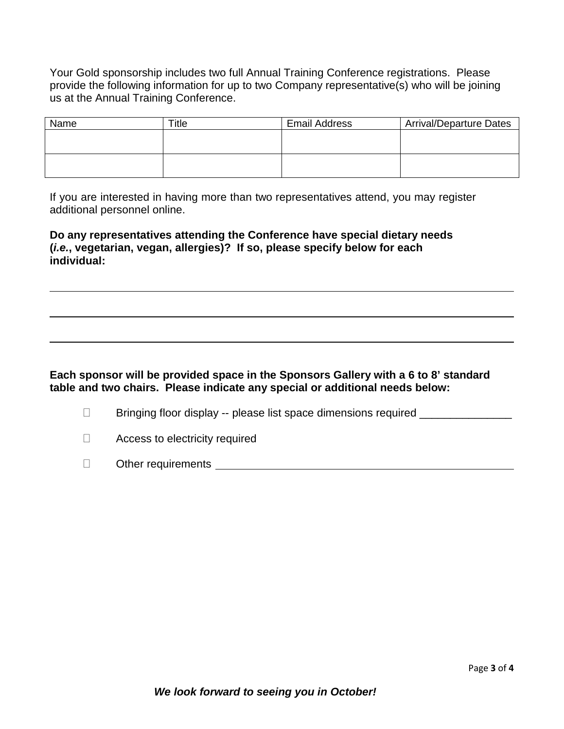Your Gold sponsorship includes two full Annual Training Conference registrations. Please provide the following information for up to two Company representative(s) who will be joining us at the Annual Training Conference.

| Name | ™itle | <b>Email Address</b> | <b>Arrival/Departure Dates</b> |
|------|-------|----------------------|--------------------------------|
|      |       |                      |                                |
|      |       |                      |                                |
|      |       |                      |                                |
|      |       |                      |                                |

If you are interested in having more than two representatives attend, you may register additional personnel online.

**Do any representatives attending the Conference have special dietary needs (***i.e.***, vegetarian, vegan, allergies)? If so, please specify below for each individual:** 

#### **Each sponsor will be provided space in the Sponsors Gallery with a 6 to 8' standard table and two chairs. Please indicate any special or additional needs below:**

- □ Bringing floor display -- please list space dimensions required \_\_\_\_\_\_\_\_\_\_\_\_\_
- □ Access to electricity required
- Other requirements